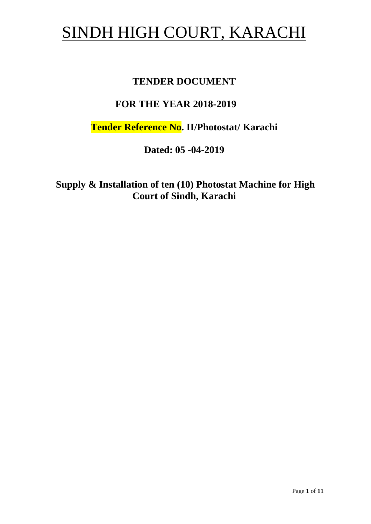# SINDH HIGH COURT, KARACHI

## **TENDER DOCUMENT**

# **FOR THE YEAR 2018-2019**

**Tender Reference No. II/Photostat/ Karachi**

**Dated: 05 -04-2019**

**Supply & Installation of ten (10) Photostat Machine for High Court of Sindh, Karachi**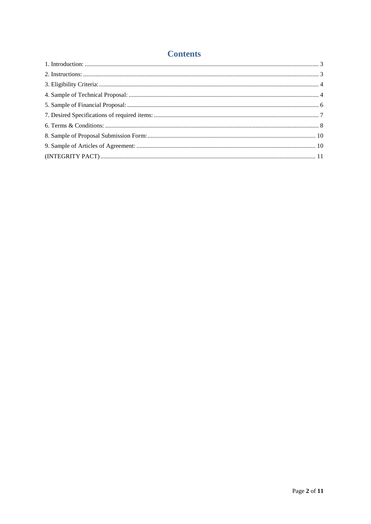## **Contents**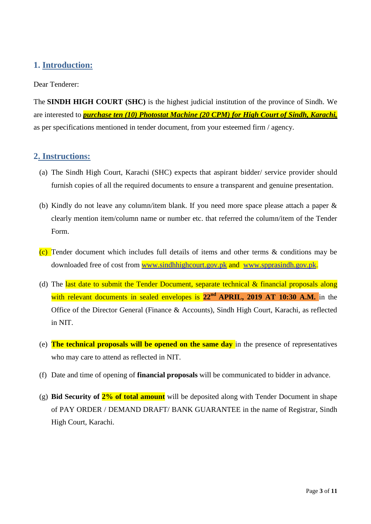## <span id="page-2-0"></span>**1. Introduction:**

#### Dear Tenderer:

The **SINDH HIGH COURT (SHC)** is the highest judicial institution of the province of [Sindh.](https://en.wikipedia.org/wiki/Sindh) We are interested to *purchase ten (10) Photostat Machine (20 CPM) for High Court of Sindh, Karachi,* as per specifications mentioned in tender document, from your esteemed firm / agency.

#### <span id="page-2-1"></span>**2. Instructions:**

- (a) The Sindh High Court, Karachi (SHC) expects that aspirant bidder/ service provider should furnish copies of all the required documents to ensure a transparent and genuine presentation.
- (b) Kindly do not leave any column/item blank. If you need more space please attach a paper & clearly mention item/column name or number etc. that referred the column/item of the Tender Form.
- (c) Tender document which includes full details of items and other terms & conditions may be downloaded free of cost from [www.sindhhighcourt.gov.pk](http://www.sindhhighcourt.gov.pk/) and [www.spprasindh.gov.pk.](http://www.spprasindh.gov.pk/)
- (d) The last date to submit the Tender Document, separate technical  $\&$  financial proposals along with relevant documents in sealed envelopes is **22nd APRIL, 2019 AT 10:30 A.M.** in the Office of the Director General (Finance & Accounts), Sindh High Court, Karachi, as reflected in NIT.
- (e) **The technical proposals will be opened on the same day** in the presence of representatives who may care to attend as reflected in NIT.
- (f) Date and time of opening of **financial proposals** will be communicated to bidder in advance.
- (g) **Bid Security of 2% of total amount** will be deposited along with Tender Document in shape of PAY ORDER / DEMAND DRAFT/ BANK GUARANTEE in the name of Registrar, Sindh High Court, Karachi.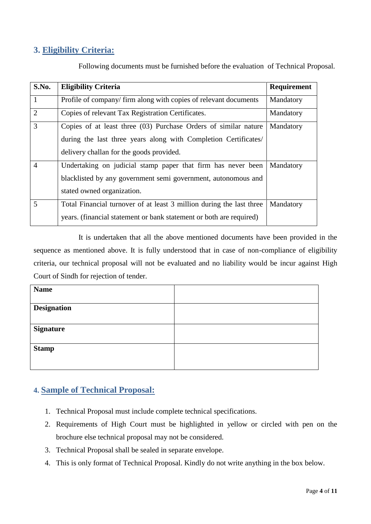## <span id="page-3-0"></span>**3. Eligibility Criteria:**

| Following documents must be furnished before the evaluation of Technical Proposal. |  |
|------------------------------------------------------------------------------------|--|
|------------------------------------------------------------------------------------|--|

| S.No.          | <b>Eligibility Criteria</b>                                          | Requirement |
|----------------|----------------------------------------------------------------------|-------------|
| $\mathbf{1}$   | Profile of company/firm along with copies of relevant documents      | Mandatory   |
| 2              | Copies of relevant Tax Registration Certificates.                    | Mandatory   |
| $\overline{3}$ | Copies of at least three (03) Purchase Orders of similar nature      | Mandatory   |
|                | during the last three years along with Completion Certificates/      |             |
|                | delivery challan for the goods provided.                             |             |
| $\overline{4}$ | Undertaking on judicial stamp paper that firm has never been         | Mandatory   |
|                | blacklisted by any government semi government, autonomous and        |             |
|                | stated owned organization.                                           |             |
| 5              | Total Financial turnover of at least 3 million during the last three | Mandatory   |
|                | years. (financial statement or bank statement or both are required)  |             |

It is undertaken that all the above mentioned documents have been provided in the sequence as mentioned above. It is fully understood that in case of non-compliance of eligibility criteria, our technical proposal will not be evaluated and no liability would be incur against High Court of Sindh for rejection of tender.

| <b>Name</b>        |  |
|--------------------|--|
|                    |  |
| <b>Designation</b> |  |
|                    |  |
| <b>Signature</b>   |  |
|                    |  |
| <b>Stamp</b>       |  |
|                    |  |
|                    |  |

## <span id="page-3-1"></span>**4. Sample of Technical Proposal:**

- 1. Technical Proposal must include complete technical specifications.
- 2. Requirements of High Court must be highlighted in yellow or circled with pen on the brochure else technical proposal may not be considered.
- 3. Technical Proposal shall be sealed in separate envelope.
- 4. This is only format of Technical Proposal. Kindly do not write anything in the box below.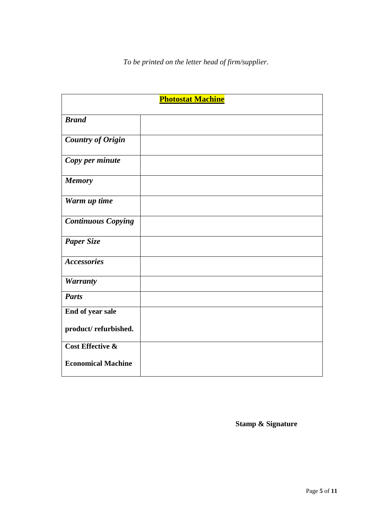| <b>Photostat Machine</b>    |  |
|-----------------------------|--|
| <b>Brand</b>                |  |
| <b>Country of Origin</b>    |  |
| Copy per minute             |  |
| <b>Memory</b>               |  |
| Warm up time                |  |
| <b>Continuous Copying</b>   |  |
| <b>Paper Size</b>           |  |
| <b>Accessories</b>          |  |
| <b>Warranty</b>             |  |
| <b>Parts</b>                |  |
| End of year sale            |  |
| product/refurbished.        |  |
| <b>Cost Effective &amp;</b> |  |
| <b>Economical Machine</b>   |  |

**Stamp & Signature**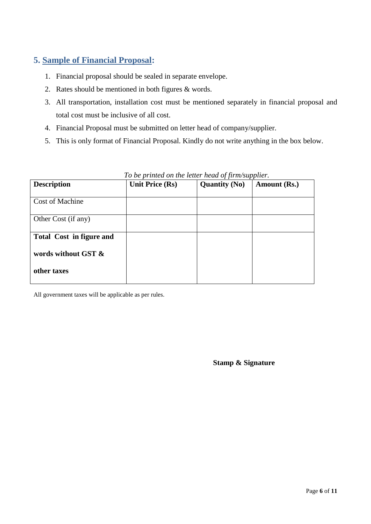## <span id="page-5-0"></span>**5. Sample of Financial Proposal:**

- 1. Financial proposal should be sealed in separate envelope.
- 2. Rates should be mentioned in both figures & words.
- 3. All transportation, installation cost must be mentioned separately in financial proposal and total cost must be inclusive of all cost.
- 4. Financial Proposal must be submitted on letter head of company/supplier.
- 5. This is only format of Financial Proposal. Kindly do not write anything in the box below.

| <b>Description</b>              | <b>Unit Price (Rs)</b> | JJ<br><b>Quantity (No)</b> | Amount (Rs.) |
|---------------------------------|------------------------|----------------------------|--------------|
|                                 |                        |                            |              |
| Cost of Machine                 |                        |                            |              |
|                                 |                        |                            |              |
| Other Cost (if any)             |                        |                            |              |
|                                 |                        |                            |              |
| <b>Total Cost in figure and</b> |                        |                            |              |
|                                 |                        |                            |              |
| words without GST &             |                        |                            |              |
|                                 |                        |                            |              |
| other taxes                     |                        |                            |              |
|                                 |                        |                            |              |

#### *To be printed on the letter head of firm/supplier.*

All government taxes will be applicable as per rules.

**Stamp & Signature**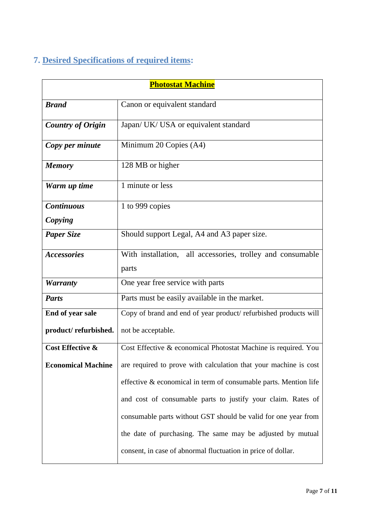# <span id="page-6-0"></span>**7. Desired Specifications of required items:**

| <b>Photostat Machine</b>    |                                                                  |  |
|-----------------------------|------------------------------------------------------------------|--|
| <b>Brand</b>                | Canon or equivalent standard                                     |  |
| <b>Country of Origin</b>    | Japan/ UK/ USA or equivalent standard                            |  |
| Copy per minute             | Minimum 20 Copies (A4)                                           |  |
| <b>Memory</b>               | 128 MB or higher                                                 |  |
| Warm up time                | 1 minute or less                                                 |  |
| <b>Continuous</b>           | 1 to 999 copies                                                  |  |
| Copying                     |                                                                  |  |
| <b>Paper Size</b>           | Should support Legal, A4 and A3 paper size.                      |  |
| <b>Accessories</b>          | With installation, all accessories, trolley and consumable       |  |
|                             | parts                                                            |  |
| <b>Warranty</b>             | One year free service with parts                                 |  |
| <b>Parts</b>                | Parts must be easily available in the market.                    |  |
| End of year sale            | Copy of brand and end of year product/refurbished products will  |  |
| product/refurbished.        | not be acceptable.                                               |  |
| <b>Cost Effective &amp;</b> | Cost Effective & economical Photostat Machine is required. You   |  |
| <b>Economical Machine</b>   | are required to prove with calculation that your machine is cost |  |
|                             | effective & economical in term of consumable parts. Mention life |  |
|                             | and cost of consumable parts to justify your claim. Rates of     |  |
|                             | consumable parts without GST should be valid for one year from   |  |
|                             | the date of purchasing. The same may be adjusted by mutual       |  |
|                             | consent, in case of abnormal fluctuation in price of dollar.     |  |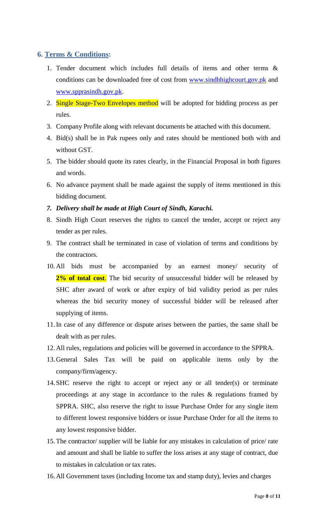## <span id="page-7-0"></span>**6. Terms & Conditions:**

- 1. Tender document which includes full details of items and other terms & conditions can be downloaded free of cost from [www.sindhhighcourt.gov.pk](http://www.sindhhighcourt.gov.pk/) and [www.spprasindh.gov.pk.](http://www.spprasindh.gov.pk/)
- 2. Single Stage-Two Envelopes method will be adopted for bidding process as per rules.
- 3. Company Profile along with relevant documents be attached with this document.
- 4. Bid(s) shall be in Pak rupees only and rates should be mentioned both with and without GST.
- 5. The bidder should quote its rates clearly, in the Financial Proposal in both figures and words.
- 6. No advance payment shall be made against the supply of items mentioned in this bidding document.
- *7. Delivery shall be made at High Court of Sindh, Karachi.*
- 8. Sindh High Court reserves the rights to cancel the tender, accept or reject any tender as per rules.
- 9. The contract shall be terminated in case of violation of terms and conditions by the contractors.
- 10. All bids must be accompanied by an earnest money/ security of 2% of total cost. The bid security of unsuccessful bidder will be released by SHC after award of work or after expiry of bid validity period as per rules whereas the bid security money of successful bidder will be released after supplying of items.
- 11.In case of any difference or dispute arises between the parties, the same shall be dealt with as per rules.
- 12.All rules, regulations and policies will be governed in accordance to the SPPRA.
- 13.General Sales Tax will be paid on applicable items only by the company/firm/agency.
- 14.SHC reserve the right to accept or reject any or all tender(s) or terminate proceedings at any stage in accordance to the rules & regulations framed by SPPRA. SHC, also reserve the right to issue Purchase Order for any single item to different lowest responsive bidders or issue Purchase Order for all the items to any lowest responsive bidder.
- 15. The contractor/ supplier will be liable for any mistakes in calculation of price/ rate and amount and shall be liable to suffer the loss arises at any stage of contract, due to mistakes in calculation or tax rates.
- 16.All Government taxes (including Income tax and stamp duty), levies and charges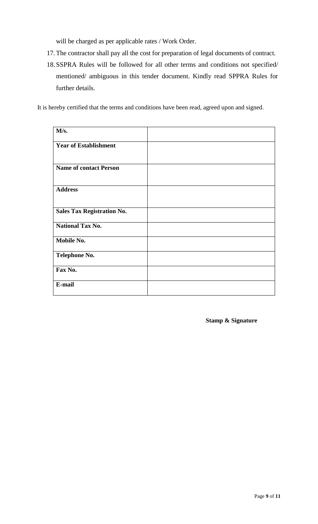will be charged as per applicable rates / Work Order.

- 17. The contractor shall pay all the cost for preparation of legal documents of contract.
- 18.SSPRA Rules will be followed for all other terms and conditions not specified/ mentioned/ ambiguous in this tender document. Kindly read SPPRA Rules for further details.

It is hereby certified that the terms and conditions have been read, agreed upon and signed.

| M/s.                              |  |
|-----------------------------------|--|
| <b>Year of Establishment</b>      |  |
| <b>Name of contact Person</b>     |  |
| <b>Address</b>                    |  |
| <b>Sales Tax Registration No.</b> |  |
| <b>National Tax No.</b>           |  |
| Mobile No.                        |  |
| <b>Telephone No.</b>              |  |
| Fax No.                           |  |
| E-mail                            |  |

**Stamp & Signature**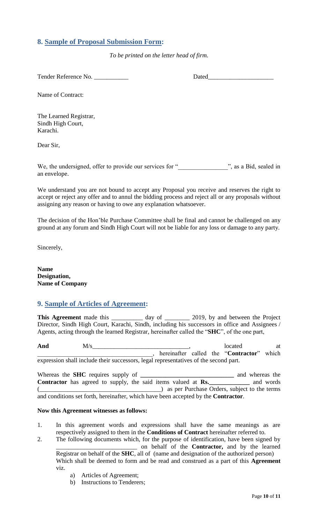## <span id="page-9-0"></span>**8. Sample of Proposal Submission Form:**

*To be printed on the letter head of firm.*

Tender Reference No. 2008 and 2008 Dated

Name of Contract:

The Learned Registrar, Sindh High Court, Karachi.

Dear Sir,

We, the undersigned, offer to provide our services for "<br>
", as a Bid, sealed in an envelope.

<span id="page-9-1"></span>We understand you are not bound to accept any Proposal you receive and reserves the right to accept or reject any offer and to annul the bidding process and reject all or any proposals without assigning any reason or having to owe any explanation whatsoever.

The decision of the Hon"ble Purchase Committee shall be final and cannot be challenged on any ground at any forum and Sindh High Court will not be liable for any loss or damage to any party.

Sincerely,

**Name Designation, Name of Company**

### **9. Sample of Articles of Agreement:**

This Agreement made this \_\_\_\_\_\_\_\_\_\_ day of \_\_\_\_\_\_\_\_ 2019, by and between the Project Director, Sindh High Court, Karachi, Sindh, including his successors in office and Assignees / Agents, acting through the learned Registrar, hereinafter called the "**SHC**", of the one part,

And  $M/s$  at  $M/s$  at  $M/s$  at  $M/s$  at  $M$ \_\_\_\_\_\_\_\_\_\_\_\_\_\_\_\_\_\_\_\_\_\_\_\_\_\_\_\_\_\_\_\_\_\_\_\_\_, hereinafter called the "**Contractor**" which expression shall include their successors, legal representatives of the second part.

Whereas the **SHC** requires supply of **\_\_\_\_\_\_\_\_\_\_\_\_\_\_\_\_\_\_\_\_\_\_\_\_\_\_\_\_\_\_** and whereas the **Contractor** has agreed to supply, the said items valued at **Rs.\_\_\_\_\_\_\_\_\_\_\_\_\_** and words (exception of the terms) as per Purchase Orders, subject to the terms and conditions set forth, hereinafter, which have been accepted by the **Contractor**.

#### **Now this Agreement witnesses as follows:**

- 1. In this agreement words and expressions shall have the same meanings as are respectively assigned to them in the **Conditions of Contract** hereinafter referred to.
- 2. The following documents which, for the purpose of identification, have been signed by \_\_\_\_\_\_\_\_\_\_\_\_\_\_\_\_\_\_\_\_\_\_\_\_\_\_ on behalf of the **Contractor,** and by the learned Registrar on behalf of the **SHC**, all of (name and designation of the authorized person) Which shall be deemed to form and be read and construed as a part of this **Agreement**  viz.
	- a) Articles of Agreement;
	- b) Instructions to Tenderers;